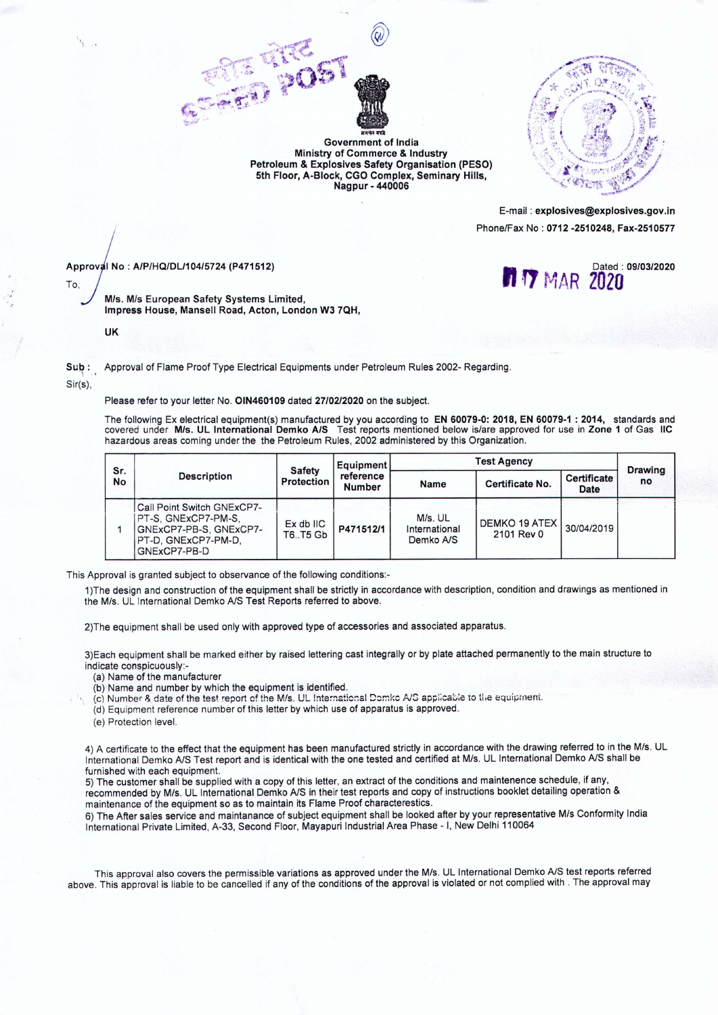



E-mail: explosives@explosives.gov.in Phone/Fax No : 0712 -2510248, Fax-2510577

**7** MAR 2020

Approv I No: *A/P/HQIDLl104/5724* (P471512) Approval No : A/P/HQ/DL/104/5724 (P471512)<br>To, Alexander Martin 2020

'\

M/s. M/s European Safety Systems Limited, Impress House, Mansell Road, Acton, London W3 7QH,

UK

Sub: Approval of Flame Proof Type Electrical Equipments under Petroleum Rules 2002- Regarding. Sir(s),

Please refer to your letter No. OlN460109 dated *27/02/2020* on the subject.

The following Ex electrical equipment(s) manufactured by you according to EN 60079-0: 2018, EN 60079-1 : 2014, standards and covered under MIs. UL International Demko *AIS* Test reports mentioned below islare approved for use in Zone 1 of Gas IIC hazardous areas coming under the the Petroleum Rules, 2002 administered by this Organization,

Petroleum & Explosives Safety Organisation (PESO) 5th Floor, A-Block, CGO Complex, Seminary Hills, Nagpur - 440006

| Sr.<br>No | <b>Description</b>                                                                                                 | <b>Safety</b><br>Protection    | Equipment<br>reference<br><b>Number</b> | <b>Test Agency</b>                    |                             |                     | <b>Drawing</b> |
|-----------|--------------------------------------------------------------------------------------------------------------------|--------------------------------|-----------------------------------------|---------------------------------------|-----------------------------|---------------------|----------------|
|           |                                                                                                                    |                                |                                         | Name                                  | Certificate No.             | Certificate<br>Date | no             |
|           | Call Point Switch GNExCP7-<br>PT-S. GNExCP7-PM-S.<br>GNExCP7-PB-S, GNExCP7-<br>PT-D. GNExCP7-PM-D.<br>GNExCP7-PB-D | $Ex$ db $IC$<br><b>T6T5 Gb</b> | P471512/1                               | M/s. UL<br>International<br>Demko A/S | DEMKO 19 ATEX<br>2101 Rev 0 | 30/04/2019          |                |

This Approval is granted subject to observance of the following conditions:-

1)The design and construction of the equipment shall be strictly in accordance with description, condition and drawings as mentioned in the *MIs,* UL International Demko *A/S* Test Reports referred to above,

2)The equipment shall be used only with approved type of accessories and associated apparatus,

3)Each equipment shall be marked either by raised lettering cast integrally or by plate attached permanently to the main structure to indicate conspicuously:-

- (a) Name of the manufacturer
- (b) Name and number by which the equipment is identified,
- (c) Number & date of the test report of the M/s, UL International Domko A/S applicable to the equipment.
- (d) Equipment reference number of this letter by which use of apparatus is approved,
- (e) Protection level.

4) A certificate to the effect that the equipment has been manufactured strictly in accordance with the drawing referred to in the *MIs.* UL International Demko NS Test report and is identical with the one tested and certified at MIs, UL International Demko NS shall be furnished with each equipment.

5) The customer shall be supplied with a copy of this letter, an extract of the conditions and maintenence schedule, if any, recommended by M/s. UL International Demko A/S in their test reports and copy of instructions booklet detailing operation & maintenance of the equipment so as to maintain its Flame Proof characterestics.

6) The After sales service and maintanance of subject equipment shall be looked after by your representative *MIs* Conformity India International Private Limited, A-33, Second Floor, Mayapuri Industrial Area Phase - I, New Delhi 110064

This approval also covers the permissible variations as approved under the MIs, UL International Demko *A/S* test reports referred above. This approval is liable to be cancelled if any of the conditions of the approval is violated or not complied with, The approval may